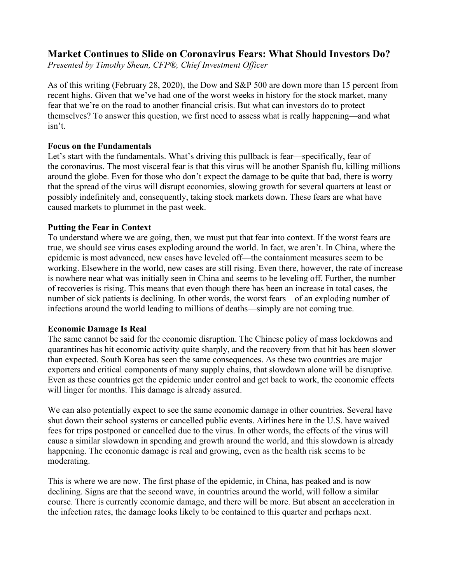# **Market Continues to Slide on Coronavirus Fears: What Should Investors Do?**

*Presented by Timothy Shean, CFP®, Chief Investment Officer*

As of this writing (February 28, 2020), the Dow and S&P 500 are down more than 15 percent from recent highs. Given that we've had one of the worst weeks in history for the stock market, many fear that we're on the road to another financial crisis. But what can investors do to protect themselves? To answer this question, we first need to assess what is really happening—and what isn't.

## **Focus on the Fundamentals**

Let's start with the fundamentals. What's driving this pullback is fear—specifically, fear of the coronavirus. The most visceral fear is that this virus will be another Spanish flu, killing millions around the globe. Even for those who don't expect the damage to be quite that bad, there is worry that the spread of the virus will disrupt economies, slowing growth for several quarters at least or possibly indefinitely and, consequently, taking stock markets down. These fears are what have caused markets to plummet in the past week.

## **Putting the Fear in Context**

To understand where we are going, then, we must put that fear into context. If the worst fears are true, we should see virus cases exploding around the world. In fact, we aren't. In China, where the epidemic is most advanced, new cases have leveled off—the containment measures seem to be working. Elsewhere in the world, new cases are still rising. Even there, however, the rate of increase is nowhere near what was initially seen in China and seems to be leveling off. Further, the number of recoveries is rising. This means that even though there has been an increase in total cases, the number of sick patients is declining. In other words, the worst fears—of an exploding number of infections around the world leading to millions of deaths—simply are not coming true.

## **Economic Damage Is Real**

The same cannot be said for the economic disruption. The Chinese policy of mass lockdowns and quarantines has hit economic activity quite sharply, and the recovery from that hit has been slower than expected. South Korea has seen the same consequences. As these two countries are major exporters and critical components of many supply chains, that slowdown alone will be disruptive. Even as these countries get the epidemic under control and get back to work, the economic effects will linger for months. This damage is already assured.

We can also potentially expect to see the same economic damage in other countries. Several have shut down their school systems or cancelled public events. Airlines here in the U.S. have waived fees for trips postponed or cancelled due to the virus. In other words, the effects of the virus will cause a similar slowdown in spending and growth around the world, and this slowdown is already happening. The economic damage is real and growing, even as the health risk seems to be moderating.

This is where we are now. The first phase of the epidemic, in China, has peaked and is now declining. Signs are that the second wave, in countries around the world, will follow a similar course. There is currently economic damage, and there will be more. But absent an acceleration in the infection rates, the damage looks likely to be contained to this quarter and perhaps next.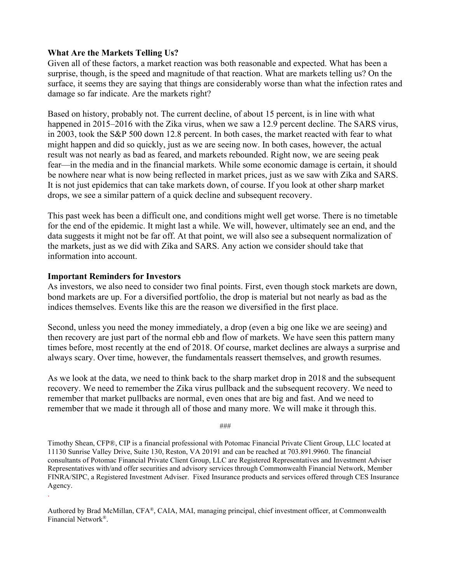## **What Are the Markets Telling Us?**

Given all of these factors, a market reaction was both reasonable and expected. What has been a surprise, though, is the speed and magnitude of that reaction. What are markets telling us? On the surface, it seems they are saying that things are considerably worse than what the infection rates and damage so far indicate. Are the markets right?

Based on history, probably not. The current decline, of about 15 percent, is in line with what happened in 2015–2016 with the Zika virus, when we saw a 12.9 percent decline. The SARS virus, in 2003, took the S&P 500 down 12.8 percent. In both cases, the market reacted with fear to what might happen and did so quickly, just as we are seeing now. In both cases, however, the actual result was not nearly as bad as feared, and markets rebounded. Right now, we are seeing peak fear—in the media and in the financial markets. While some economic damage is certain, it should be nowhere near what is now being reflected in market prices, just as we saw with Zika and SARS. It is not just epidemics that can take markets down, of course. If you look at other sharp market drops, we see a similar pattern of a quick decline and subsequent recovery.

This past week has been a difficult one, and conditions might well get worse. There is no timetable for the end of the epidemic. It might last a while. We will, however, ultimately see an end, and the data suggests it might not be far off. At that point, we will also see a subsequent normalization of the markets, just as we did with Zika and SARS. Any action we consider should take that information into account.

## **Important Reminders for Investors**

.

As investors, we also need to consider two final points. First, even though stock markets are down, bond markets are up. For a diversified portfolio, the drop is material but not nearly as bad as the indices themselves. Events like this are the reason we diversified in the first place.

Second, unless you need the money immediately, a drop (even a big one like we are seeing) and then recovery are just part of the normal ebb and flow of markets. We have seen this pattern many times before, most recently at the end of 2018. Of course, market declines are always a surprise and always scary. Over time, however, the fundamentals reassert themselves, and growth resumes.

As we look at the data, we need to think back to the sharp market drop in 2018 and the subsequent recovery. We need to remember the Zika virus pullback and the subsequent recovery. We need to remember that market pullbacks are normal, even ones that are big and fast. And we need to remember that we made it through all of those and many more. We will make it through this.

###

Timothy Shean, CFP®, CIP is a financial professional with Potomac Financial Private Client Group, LLC located at 11130 Sunrise Valley Drive, Suite 130, Reston, VA 20191 and can be reached at 703.891.9960. The financial consultants of Potomac Financial Private Client Group, LLC are Registered Representatives and Investment Adviser Representatives with/and offer securities and advisory services through Commonwealth Financial Network, Member FINRA/SIPC, a Registered Investment Adviser. Fixed Insurance products and services offered through CES Insurance Agency.

Authored by Brad McMillan, CFA®, CAIA, MAI, managing principal, chief investment officer, at Commonwealth Financial Network®.